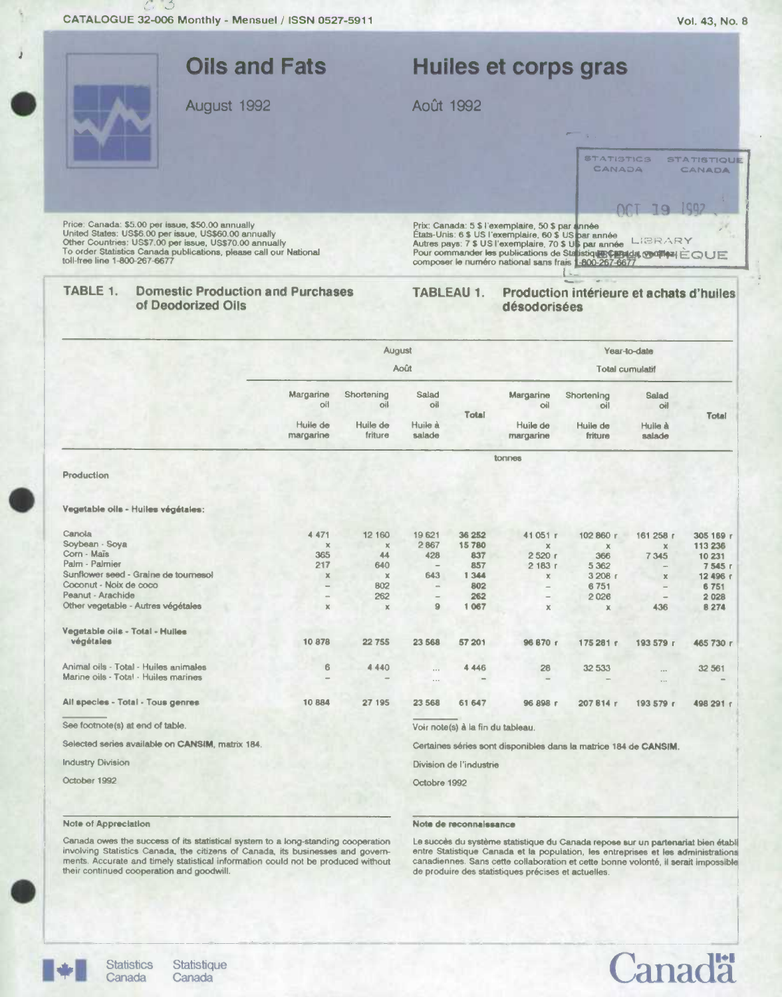CATALOGUE 32-006 Monthly - Mensuel / ISSN 0527-5911



Selected series available on CANSIM, matrix 184.

**Industry Division** 

October 1992

## Note of Appreciation

**Statistics** 

Canada

Note de reconnaissance

Division de l'industrie

Octobre 1992

Canada owes the success of its statistical system to a long-standing cooperation involving Statistics Canada, the citizens of Canada, its businesses and governments. Accurate and timely statistical information could not be produced without their continued cooperation and goodwill.

Canada

Le succès du système statistique du Canada repose sur un partenariat bien établ entre Statistique Canada et la population, les entreprises et les administrations canadiennes. Sans cette collaboration et cette bonne volonté, il serait impossible de produire des statistiques précises et actuelles.

Certaines séries sont disponibles dans la matrice 184 de CANSIM.





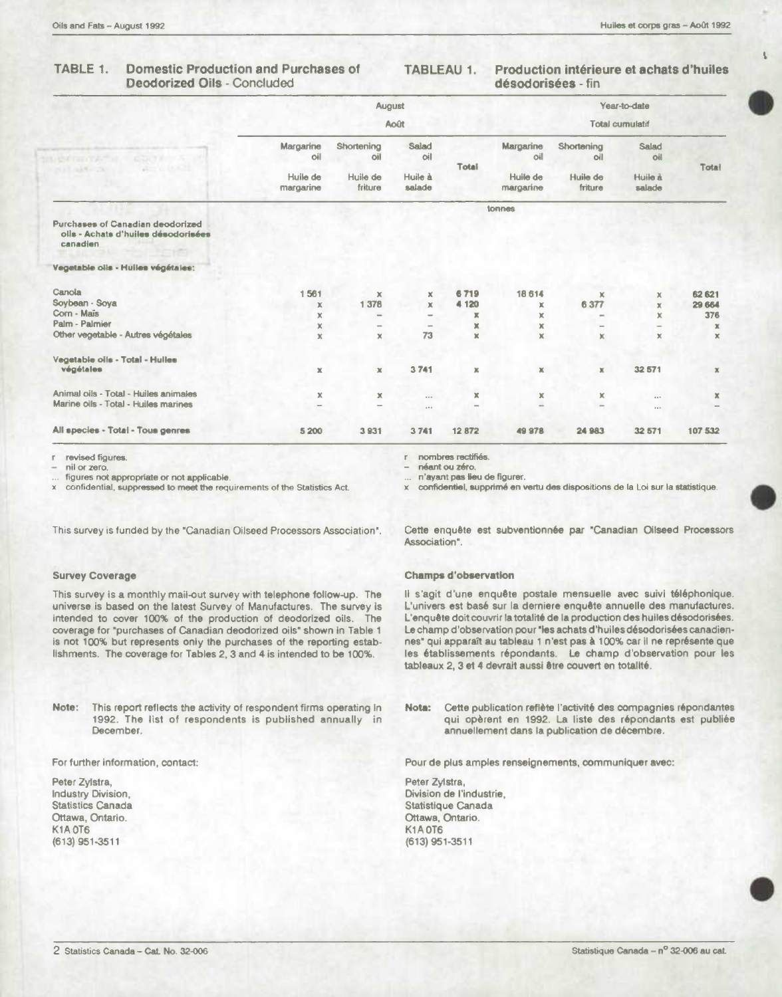### TABLE 1. **Domestic Production and Purchases of Deodorized Oils - Concluded**

#### Production intérieure et achats d'huiles **TABLEAU 1.** désodorisées - fin

|                                                                                     |                                           | August                                   |                                   |             | Year-to-date                              |                                          |                                          |              |  |
|-------------------------------------------------------------------------------------|-------------------------------------------|------------------------------------------|-----------------------------------|-------------|-------------------------------------------|------------------------------------------|------------------------------------------|--------------|--|
|                                                                                     |                                           | Août                                     |                                   |             |                                           | <b>Total cumulatif</b>                   |                                          |              |  |
| <b>CONTROLL</b><br><b>CONTRACTOR</b><br><b>ACTIVITY</b><br><b>COLARA</b>            | Margarine<br>oil<br>Huile de<br>margarine | Shortening<br>oil<br>Huile de<br>friture | Salad<br>oil<br>Huile à<br>salade | Total       | Margarine<br>oil<br>Huile de<br>margarine | Shortening<br>oll<br>Huile de<br>friture | <b>Salad</b><br>oil<br>Huile à<br>salade | Total        |  |
|                                                                                     |                                           |                                          |                                   |             |                                           |                                          |                                          |              |  |
| Purchases of Canadian deodorized<br>olls - Achats d'huiles désodorisées<br>canadien |                                           |                                          |                                   |             |                                           |                                          |                                          |              |  |
| Vegetable oils - Huiles végétales:                                                  |                                           |                                          |                                   |             |                                           |                                          |                                          |              |  |
| Canola                                                                              | 1561                                      | $\mathbf x$                              | x                                 | 6719        | 18 614                                    | x                                        | x                                        | 62 621       |  |
| Sovbean - Sova                                                                      | x                                         | 1378                                     | $\mathbb X$                       | 4 1 2 0     | x                                         | 6377                                     | $\mathbf x$                              | 29 6 84      |  |
| Corn - Maïs                                                                         | ×                                         |                                          | $\sim$                            | ж           | x                                         | -                                        | ×                                        | 376          |  |
| Palm - Palmier                                                                      | x                                         | $\qquad \qquad \blacksquare$             | $\equiv$                          | ×           | $\mathbf x$                               |                                          | $\overline{\phantom{0}}$                 | $\mathbf x$  |  |
| Other vegetable - Autres végétales                                                  | ×                                         | $\mathbf{x}$                             | 73                                | $\mathbb X$ | $\mathbf x$                               | x                                        | $\mathbf x$                              | $\mathbf x$  |  |
| Vegetable oils - Total - Hulles                                                     |                                           |                                          |                                   |             |                                           |                                          |                                          |              |  |
| végétales                                                                           | ×                                         | $\mathbb X$                              | 3741                              | $\mathbf x$ | x                                         | $\mathbb X$                              | 32 571                                   | $\mathbb X$  |  |
| Animal oils - Total - Huiles animales                                               | x                                         | x                                        | $\cdots$                          | $\mathbb X$ | x                                         | ×                                        | 1.15                                     | $\mathbb{X}$ |  |
| Marine oils - Total - Huiles marines                                                | $\overline{\phantom{a}}$                  |                                          | 1.11                              | -           | $\overline{\phantom{m}}$                  |                                          | $\cdots$                                 |              |  |
| All species - Total - Tous genres                                                   | 5 200                                     | 3931                                     | 3741                              | 12872       | 49 978                                    | 24 983                                   | 32 571                                   | 107 532      |  |

r revised figures.

nil or zero.

figures not appropriate or not applicable.

confidential, suppressed to meet the requirements of the Statistics Act.  $\times$ 

This survey is funded by the "Canadian Oilseed Processors Association".

# **Survey Coverage**

This survey is a monthly mail-out survey with telephone follow-up. The universe is based on the latest Survey of Manufactures. The survey is intended to cover 100% of the production of deodorized oils. The coverage for "purchases of Canadian deodorized oils" shown in Table 1 is not 100% but represents only the purchases of the reporting establishments. The coverage for Tables 2, 3 and 4 is intended to be 100%.

Note: This report reflects the activity of respondent firms operating In 1992. The list of respondents is published annually in December.

For further information, contact:

Peter Zylstra, Industry Division, **Statistics Canada** Ottawa, Ontario. **K1A 0T6** (613) 951-3511

r nombres rectifiés.

néant ou zéro.

n'ayant pas lieu de figurer.

x confidentiel, supprimé en vertu des dispositions de la Loi sur la statistique.

Cette enquête est subventionnée par "Canadian Oilseed Processors Association".

## **Champs d'observation**

Il s'agit d'une enquête postale mensuelle avec suivi téléphonique. L'univers est basé sur la derniere enquête annuelle des manufactures. L'enquête doit couvrir la totalité de la production des huiles désodorisées. Le champ d'observation pour "les achats d'huiles désodorisées canadiennes" qui apparaît au tableau 1 n'est pas à 100% car il ne représente que les établissements répondants. Le champ d'observation pour les tableaux 2, 3 et 4 devrait aussi être couvert en totalité.

Nota: Cette publication reflète l'activité des compagnies répondantes qui opèrent en 1992. La liste des répondants est publiée annuellement dans la publication de décembre.

Pour de plus amples renseignements, communiquer avec:

Peter Zylstra, Division de l'industrie, Statistique Canada Ottawa, Ontario. K1A0T6 (613) 951-3511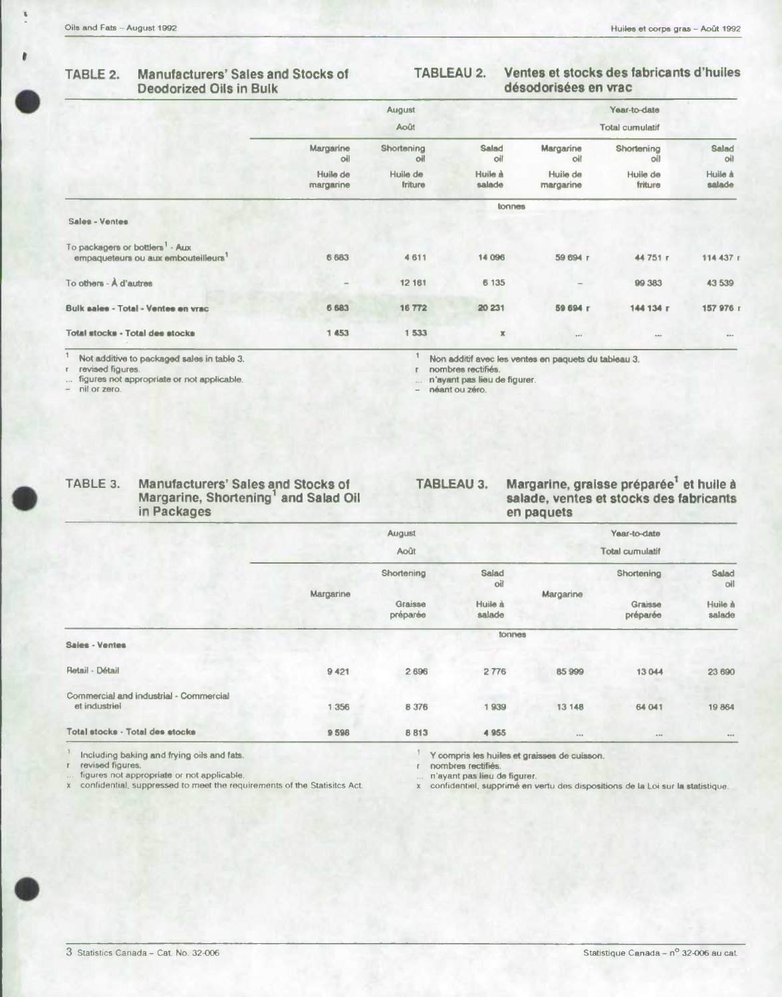$\overline{\mathbf{b}}$ 

## **Manufacturers' Sales and Stocks of** TABLE 2. **Deodorized Oils in Bulk**

### Ventes et stocks des fabricants d'huiles **TABLEAU 2.** désodorisées en vrac

|                                                                                                |                       | August              |                   |                        | Year-to-date        |                     |  |  |
|------------------------------------------------------------------------------------------------|-----------------------|---------------------|-------------------|------------------------|---------------------|---------------------|--|--|
|                                                                                                | <b>Août</b>           |                     |                   | <b>Total cumulatif</b> |                     |                     |  |  |
|                                                                                                | Margarine<br>oil      | Shortening<br>oil   | Salad<br>oil      | Margarine<br>oil       | Shortening<br>oil   | <b>Salad</b><br>oil |  |  |
|                                                                                                | Huile de<br>margarine | Huile de<br>friture | Huile à<br>salade | Huile de<br>margarine  | Huile de<br>friture | Huile à<br>salade   |  |  |
|                                                                                                | tonnes                |                     |                   |                        |                     |                     |  |  |
| Sales - Ventes                                                                                 |                       |                     |                   |                        |                     |                     |  |  |
| To packagers or bottlers <sup>1</sup> - Aux<br>empaqueteurs ou aux embouteilleurs <sup>1</sup> | 6 6 8 3               | 4 6 1 1             | 14 096            | 59 694 r               | 44751 r             | 114 437 r           |  |  |
| To others - A d'autres                                                                         |                       | 12 161              | 6 135             |                        | 99 383              | 43 539              |  |  |
| Bulk sales - Total - Ventes en vrac                                                            | 6 6 8 3               | 16772               | 20 231            | 59 694 r               | 144 134 r           | 157 976 г           |  |  |
| Total stocks - Total des stocks                                                                | 1 453                 | 1 533               | $\mathbb K$       | $0.0 - 0.1$            | 0.00                | 0.00                |  |  |

Not additive to packaged sales in table 3.

revised figures.

figures not appropriate or not applicable.

nil or zero.

TA

 $\ensuremath{\mathsf{I}}$ Non additif avec les ventes en paquets du tableau 3.

nombres rectifiés  $\bar{\Gamma}$ n'ayant pas lieu de figurer.

néant ou zéro.

| BLE 3. | <b>Manufacturers' Sales and Stocks of</b> |
|--------|-------------------------------------------|
|        | Margarine, Shortening' and Salad Oil      |
|        | in Packages                               |

Margarine, graisse préparée<sup>1</sup> et huile à<br>salade, ventes et stocks des fabricants **TABLEAU 3.** en paquets

|                                                         |           | August              |                   | Year-to-date    |                     |                   |
|---------------------------------------------------------|-----------|---------------------|-------------------|-----------------|---------------------|-------------------|
|                                                         |           | Août                |                   | Total cumulatif |                     |                   |
|                                                         |           | Shortening          | Salad<br>oil      |                 | Shortening          | Salad<br>oil      |
|                                                         | Margarine | Graisse<br>préparée | Huile à<br>salade | Margarine       | Graisse<br>préparée | Huile à<br>salade |
| Sales - Ventes                                          |           |                     | tonnes            |                 |                     |                   |
| Retail - Détail                                         | 9 4 21    | 2 6 9 6             | 2776              | 85 999          | 13 044              | 23 690            |
| Commercial and industrial - Commercial<br>et industriel | 1 356     | 8 376               | 1939              | 13 148          | 64 041              | 19864             |
| Total stocks - Total des stocks                         | 9598      | 8813                | 4 9 5 5           | 000             | $9.9.9$             | $\pi \circ \circ$ |
|                                                         |           | $\sim$              |                   |                 |                     |                   |

Including baking and frying oils and fats. revised figures.

figures not appropriate or not applicable.

confidential, suppressed to meet the requirements of the Statisitcs Act.  $\times$ 

Y compris les huiles et graisses de cuisson.

nombres rectifiés. r

n'ayant pas lieu de figurer.

confidentiel, supprimé en vertu des dispositions de la Loi sur la statistique.  $\times$